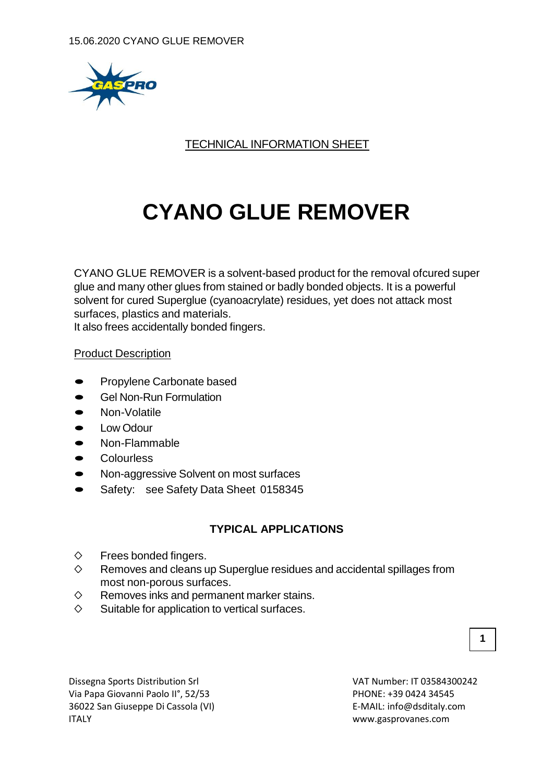

## TECHNICAL INFORMATION SHEET

# **CYANO GLUE REMOVER**

CYANO GLUE REMOVER is a solvent-based product for the removal ofcured super glue and many other glues from stained or badly bonded objects. It is a powerful solvent for cured Superglue (cyanoacrylate) residues, yet does not attack most surfaces, plastics and materials. It also frees accidentally bonded fingers.

#### Product Description

- Propylene Carbonate based
- Gel Non-Run Formulation
- Non-Volatile
- Low Odour
- Non-Flammable
- **Colourless**
- Non-aggressive Solvent on most surfaces
- Safety: see Safety Data Sheet <sup>0158345</sup>

## **TYPICAL APPLICATIONS**

- $\diamond$  Frees bonded fingers.
- $\diamond$  Removes and cleans up Superglue residues and accidental spillages from most non-porous surfaces.
- $\diamond$  Removes inks and permanent marker stains.
- $\diamond$  Suitable for application to vertical surfaces.

Dissegna Sports Distribution Srl VAT Number: IT 03584300242 Via Papa Giovanni Paolo II°, 52/53 PHONE: +39 0424 34545 36022 San Giuseppe Di Cassola (VI) E-MAIL: info@dsditaly.com ITALY www.gasprovanes.com

**1**